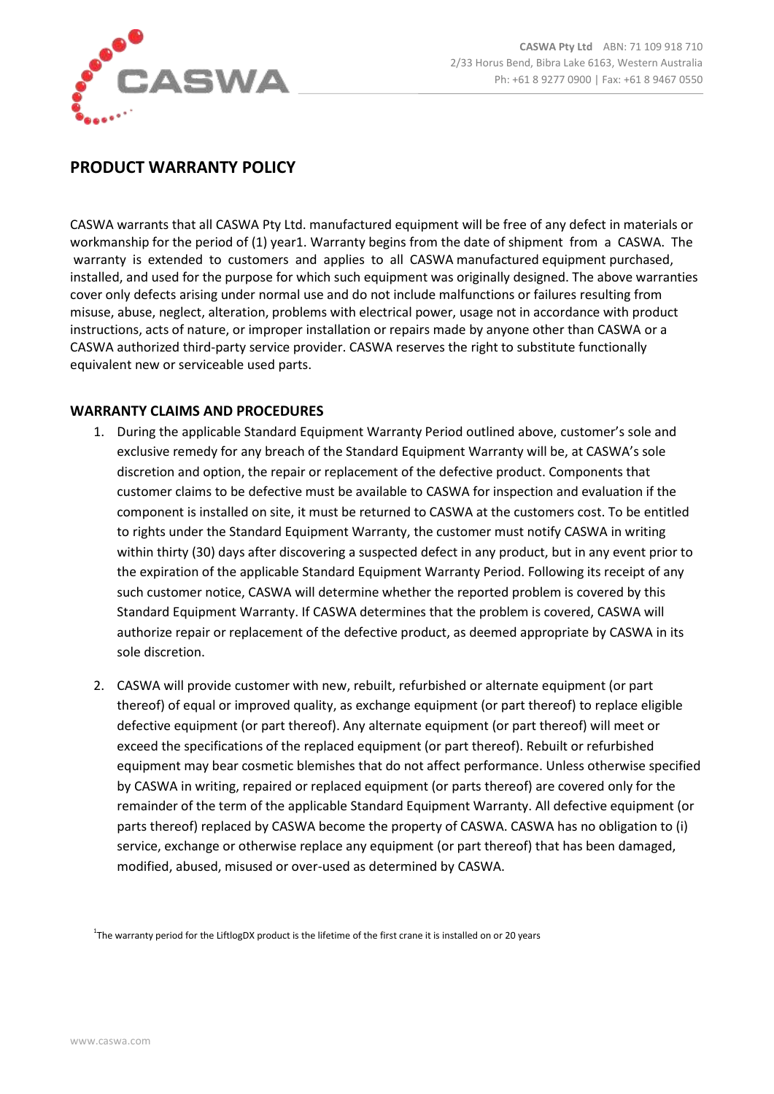

## **PRODUCT WARRANTY POLICY**

CASWA warrants that all CASWA Pty Ltd. manufactured equipment will be free of any defect in materials or workmanship for the period of (1) year1. Warranty begins from the date of shipment from a CASWA. The warranty is extended to customers and applies to all CASWA manufactured equipment purchased, installed, and used for the purpose for which such equipment was originally designed. The above warranties cover only defects arising under normal use and do not include malfunctions or failures resulting from misuse, abuse, neglect, alteration, problems with electrical power, usage not in accordance with product instructions, acts of nature, or improper installation or repairs made by anyone other than CASWA or a CASWA authorized third-party service provider. CASWA reserves the right to substitute functionally equivalent new or serviceable used parts.

## **WARRANTY CLAIMS AND PROCEDURES**

- 1. During the applicable Standard Equipment Warranty Period outlined above, customer's sole and exclusive remedy for any breach of the Standard Equipment Warranty will be, at CASWA's sole discretion and option, the repair or replacement of the defective product. Components that customer claims to be defective must be available to CASWA for inspection and evaluation if the component is installed on site, it must be returned to CASWA at the customers cost. To be entitled to rights under the Standard Equipment Warranty, the customer must notify CASWA in writing within thirty (30) days after discovering a suspected defect in any product, but in any event prior to the expiration of the applicable Standard Equipment Warranty Period. Following its receipt of any such customer notice, CASWA will determine whether the reported problem is covered by this Standard Equipment Warranty. If CASWA determines that the problem is covered, CASWA will authorize repair or replacement of the defective product, as deemed appropriate by CASWA in its sole discretion.
- 2. CASWA will provide customer with new, rebuilt, refurbished or alternate equipment (or part thereof) of equal or improved quality, as exchange equipment (or part thereof) to replace eligible defective equipment (or part thereof). Any alternate equipment (or part thereof) will meet or exceed the specifications of the replaced equipment (or part thereof). Rebuilt or refurbished equipment may bear cosmetic blemishes that do not affect performance. Unless otherwise specified by CASWA in writing, repaired or replaced equipment (or parts thereof) are covered only for the remainder of the term of the applicable Standard Equipment Warranty. All defective equipment (or parts thereof) replaced by CASWA become the property of CASWA. CASWA has no obligation to (i) service, exchange or otherwise replace any equipment (or part thereof) that has been damaged, modified, abused, misused or over-used as determined by CASWA.

<sup>1</sup>The warranty period for the LiftlogDX product is the lifetime of the first crane it is installed on or 20 years